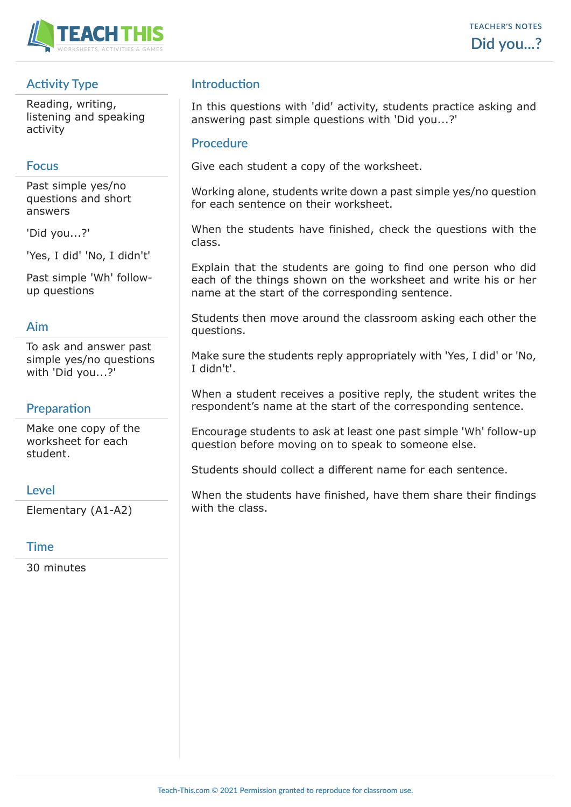

# **Activity Type**

Reading, writing, listening and speaking activity

# **Focus**

Past simple yes/no questions and short answers

'Did you...?'

'Yes, I did' 'No, I didn't'

Past simple 'Wh' followup questions

### **Aim**

To ask and answer past simple yes/no questions with 'Did you...?'

### **Preparation**

Make one copy of the worksheet for each student.

### **Level**

Elementary (A1-A2)

### **Time**

30 minutes

# **Introduction**

In this questions with 'did' activity, students practice asking and answering past simple questions with 'Did you...?'

#### **Procedure**

Give each student a copy of the worksheet.

Working alone, students write down a past simple yes/no question for each sentence on their worksheet.

When the students have finished, check the questions with the class.

Explain that the students are going to find one person who did each of the things shown on the worksheet and write his or her name at the start of the corresponding sentence.

Students then move around the classroom asking each other the questions.

Make sure the students reply appropriately with 'Yes, I did' or 'No, I didn't'.

When a student receives a positive reply, the student writes the respondent's name at the start of the corresponding sentence.

Encourage students to ask at least one past simple 'Wh' follow-up question before moving on to speak to someone else.

Students should collect a different name for each sentence.

When the students have finished, have them share their findings with the class.